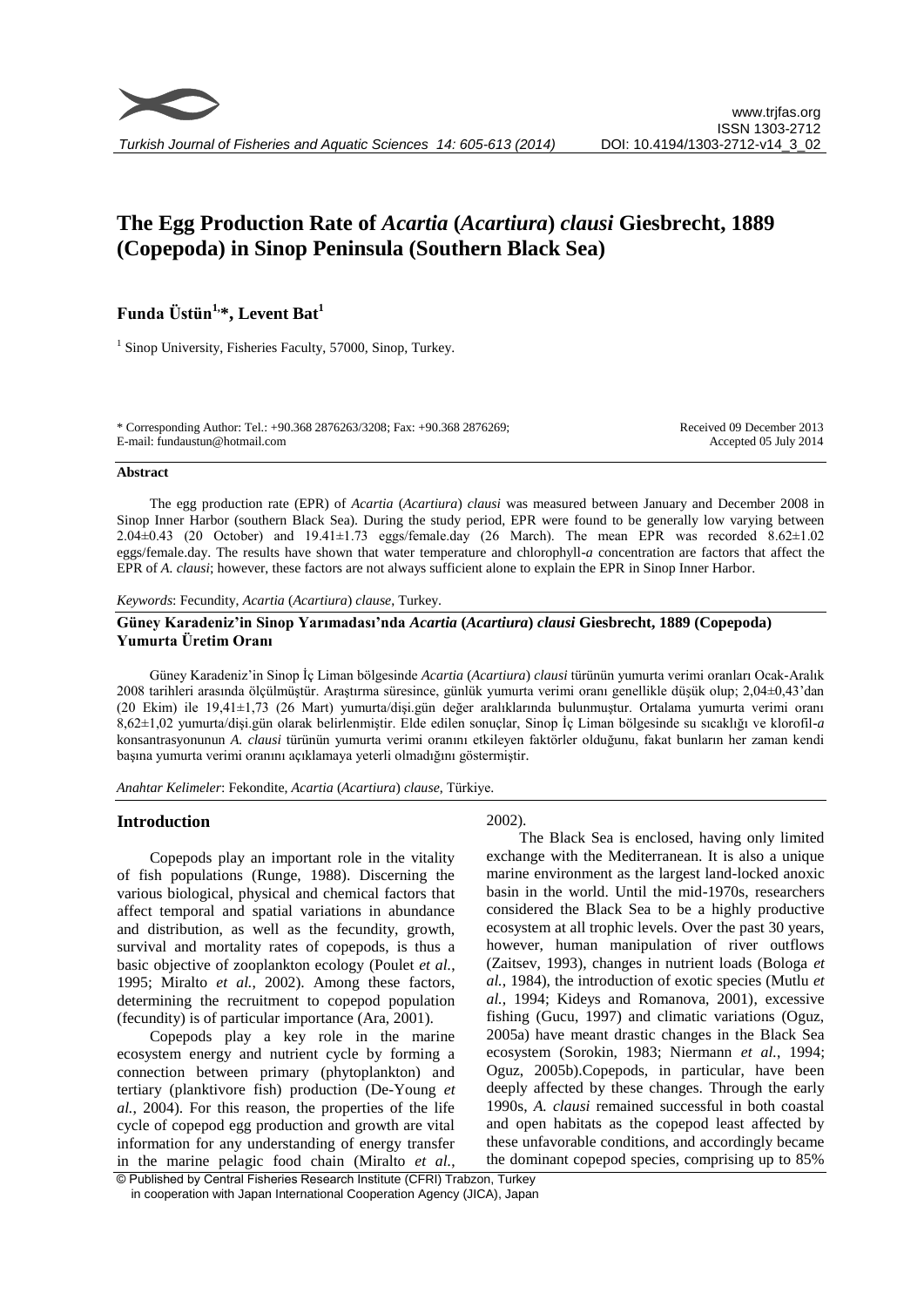# **The Egg Production Rate of** *Acartia* **(***Acartiura***)** *clausi* **Giesbrecht, 1889 (Copepoda) in Sinop Peninsula (Southern Black Sea)**

## **Funda Üstün1, \*, Levent Bat<sup>1</sup>**

<sup>1</sup> Sinop University, Fisheries Faculty, 57000, Sinop, Turkey.

\* Corresponding Author: Tel.: +90.368 2876263/3208; Fax: +90.368 2876269; E-mail: fundaustun@hotmail.com

Received 09 December 2013 Accepted 05 July 2014

#### **Abstract**

The egg production rate (EPR) of *Acartia* (*Acartiura*) *clausi* was measured between January and December 2008 in Sinop Inner Harbor (southern Black Sea). During the study period, EPR were found to be generally low varying between 2.04±0.43 (20 October) and 19.41±1.73 eggs/female.day (26 March). The mean EPR was recorded 8.62±1.02 eggs/female.day. The results have shown that water temperature and chlorophyll-*a* concentration are factors that affect the EPR of *A. clausi*; however, these factors are not always sufficient alone to explain the EPR in Sinop Inner Harbor.

*Keywords*: Fecundity, *Acartia* (*Acartiura*) *clause*, Turkey.

#### **Güney Karadeniz'in Sinop Yarımadası'nda** *Acartia* **(***Acartiura***)** *clausi* **Giesbrecht, 1889 (Copepoda) Yumurta Üretim Oranı**

Güney Karadeniz'in Sinop İç Liman bölgesinde *Acartia* (*Acartiura*) *clausi* türünün yumurta verimi oranları Ocak-Aralık 2008 tarihleri arasında ölçülmüştür. Araştırma süresince, günlük yumurta verimi oranı genellikle düşük olup; 2,04±0,43'dan (20 Ekim) ile 19,41±1,73 (26 Mart) yumurta/dişi.gün değer aralıklarında bulunmuştur. Ortalama yumurta verimi oranı 8,62±1,02 yumurta/dişi.gün olarak belirlenmiştir. Elde edilen sonuçlar, Sinop İç Liman bölgesinde su sıcaklığı ve klorofil-*a* konsantrasyonunun *A. clausi* türünün yumurta verimi oranını etkileyen faktörler olduğunu, fakat bunların her zaman kendi başına yumurta verimi oranını açıklamaya yeterli olmadığını göstermiştir.

*Anahtar Kelimeler*: Fekondite, *Acartia* (*Acartiura*) *clause*, Türkiye.

## **Introduction**

Copepods play an important role in the vitality of fish populations (Runge, 1988). Discerning the various biological, physical and chemical factors that affect temporal and spatial variations in abundance and distribution, as well as the fecundity, growth, survival and mortality rates of copepods, is thus a basic objective of zooplankton ecology (Poulet *et al.*, 1995; Miralto *et al.*, 2002). Among these factors, determining the recruitment to copepod population (fecundity) is of particular importance (Ara, 2001).

Copepods play a key role in the marine ecosystem energy and nutrient cycle by forming a connection between primary (phytoplankton) and tertiary (planktivore fish) production (De-Young *et al.*, 2004). For this reason, the properties of the life cycle of copepod egg production and growth are vital information for any understanding of energy transfer in the marine pelagic food chain (Miralto *et al.*,

## 2002).

The Black Sea is enclosed, having only limited exchange with the Mediterranean. It is also a unique marine environment as the largest land-locked anoxic basin in the world. Until the mid-1970s, researchers considered the Black Sea to be a highly productive ecosystem at all trophic levels. Over the past 30 years, however, human manipulation of river outflows (Zaitsev, 1993), changes in nutrient loads (Bologa *et al.*, 1984), the introduction of exotic species (Mutlu *et al.*, 1994; Kideys and Romanova, 2001), excessive fishing (Gucu, 1997) and climatic variations (Oguz, 2005a) have meant drastic changes in the Black Sea ecosystem (Sorokin, 1983; Niermann *et al.*, 1994; Oguz, 2005b).Copepods, in particular, have been deeply affected by these changes. Through the early 1990s, *A. clausi* remained successful in both coastal and open habitats as the copepod least affected by these unfavorable conditions, and accordingly became the dominant copepod species, comprising up to 85%

<sup>©</sup> Published by Central Fisheries Research Institute (CFRI) Trabzon, Turkey in cooperation with Japan International Cooperation Agency (JICA), Japan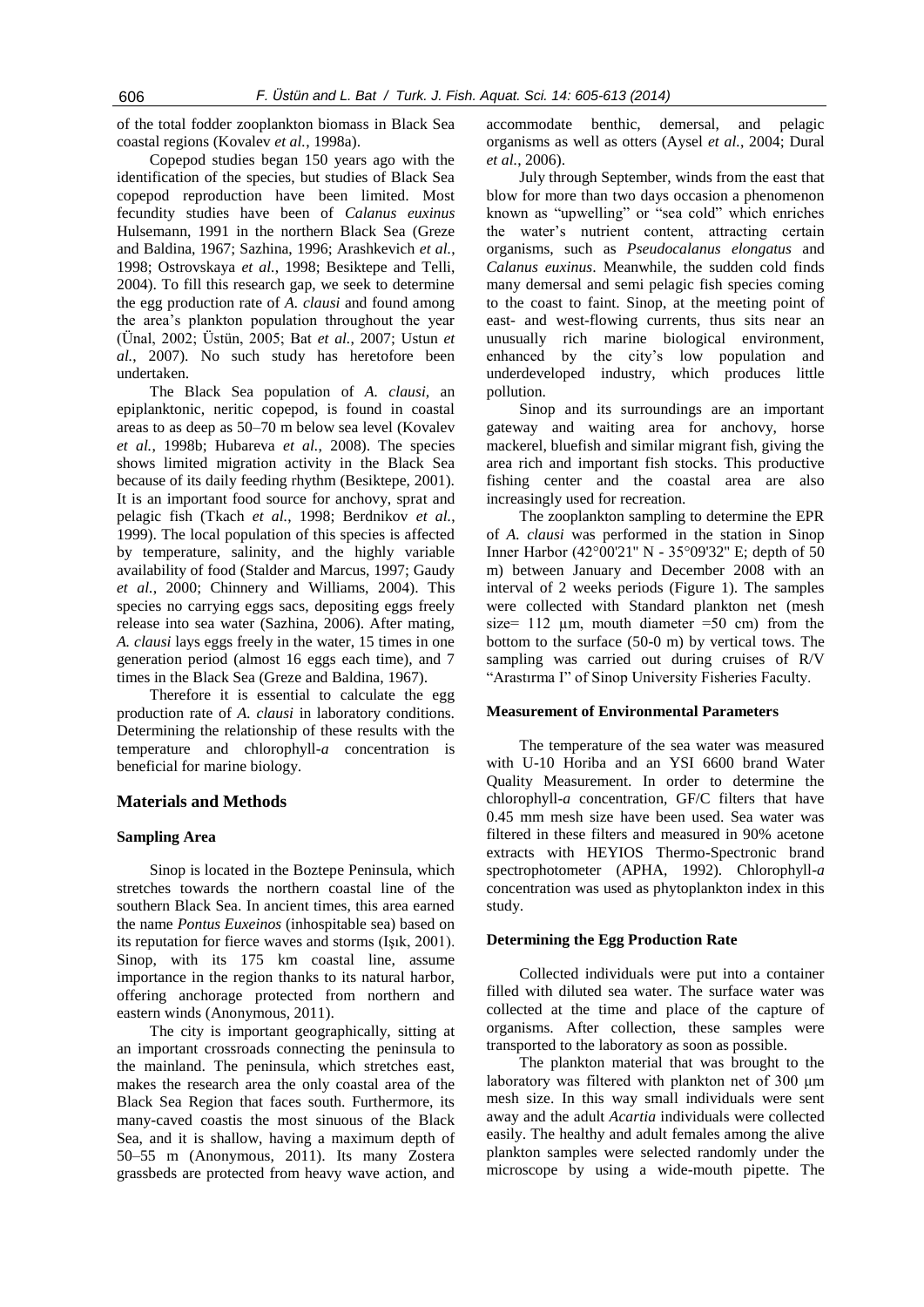of the total fodder zooplankton biomass in Black Sea coastal regions (Kovalev *et al.*, 1998a).

Copepod studies began 150 years ago with the identification of the species, but studies of Black Sea copepod reproduction have been limited. Most fecundity studies have been of *Calanus euxinus* Hulsemann, 1991 in the northern Black Sea (Greze and Baldina, 1967; Sazhina, 1996; Arashkevich *et al.*, 1998; Ostrovskaya *et al.*, 1998; Besiktepe and Telli, 2004). To fill this research gap, we seek to determine the egg production rate of *A. clausi* and found among the area's plankton population throughout the year (Ünal, 2002; Üstün, 2005; Bat *et al.*, 2007; Ustun *et al.*, 2007). No such study has heretofore been undertaken.

The Black Sea population of *A. clausi,* an epiplanktonic, neritic copepod, is found in coastal areas to as deep as 50–70 m below sea level (Kovalev *et al.*, 1998b; Hubareva *et al.*, 2008). The species shows limited migration activity in the Black Sea because of its daily feeding rhythm (Besiktepe, 2001). It is an important food source for anchovy, sprat and pelagic fish (Tkach *et al.*, 1998; Berdnikov *et al.*, 1999). The local population of this species is affected by temperature, salinity, and the highly variable availability of food (Stalder and Marcus, 1997; Gaudy *et al.*, 2000; Chinnery and Williams, 2004). This species no carrying eggs sacs, depositing eggs freely release into sea water (Sazhina, 2006). After mating, *A. clausi* lays eggs freely in the water, 15 times in one generation period (almost 16 eggs each time), and 7 times in the Black Sea (Greze and Baldina, 1967).

Therefore it is essential to calculate the egg production rate of *A. clausi* in laboratory conditions. Determining the relationship of these results with the temperature and chlorophyll*-a* concentration is beneficial for marine biology.

## **Materials and Methods**

## **Sampling Area**

Sinop is located in the Boztepe Peninsula, which stretches towards the northern coastal line of the southern Black Sea. In ancient times, this area earned the name *Pontus Euxeinos* (inhospitable sea) based on its reputation for fierce waves and storms (Işık, 2001). Sinop, with its 175 km coastal line, assume importance in the region thanks to its natural harbor, offering anchorage protected from northern and eastern winds (Anonymous, 2011).

The city is important geographically, sitting at an important crossroads connecting the peninsula to the mainland. The peninsula, which stretches east, makes the research area the only coastal area of the Black Sea Region that faces south. Furthermore, its many-caved coastis the most sinuous of the Black Sea, and it is shallow, having a maximum depth of 50–55 m (Anonymous, 2011). Its many Zostera grassbeds are protected from heavy wave action, and accommodate benthic, demersal, and pelagic organisms as well as otters (Aysel *et al.*, 2004; Dural *et al.*, 2006).

July through September, winds from the east that blow for more than two days occasion a phenomenon known as "upwelling" or "sea cold" which enriches the water's nutrient content, attracting certain organisms, such as *Pseudocalanus elongatus* and *Calanus euxinus*. Meanwhile, the sudden cold finds many demersal and semi pelagic fish species coming to the coast to faint. Sinop, at the meeting point of east- and west-flowing currents, thus sits near an unusually rich marine biological environment, enhanced by the city's low population and underdeveloped industry, which produces little pollution.

Sinop and its surroundings are an important gateway and waiting area for anchovy, horse mackerel, bluefish and similar migrant fish, giving the area rich and important fish stocks. This productive fishing center and the coastal area are also increasingly used for recreation.

The zooplankton sampling to determine the EPR of *A. clausi* was performed in the station in Sinop Inner Harbor (42°00'21'' N - 35°09'32'' E; depth of 50 m) between January and December 2008 with an interval of 2 weeks periods (Figure 1). The samples were collected with Standard plankton net (mesh size= 112 um, mouth diameter =50 cm) from the bottom to the surface (50-0 m) by vertical tows. The sampling was carried out during cruises of R/V "Arastırma I" of Sinop University Fisheries Faculty.

#### **Measurement of Environmental Parameters**

The temperature of the sea water was measured with U-10 Horiba and an YSI 6600 brand Water Quality Measurement. In order to determine the chlorophyll-*a* concentration, GF/C filters that have 0.45 mm mesh size have been used. Sea water was filtered in these filters and measured in 90% acetone extracts with HEYIOS Thermo-Spectronic brand spectrophotometer (APHA, 1992). Chlorophyll-*a* concentration was used as phytoplankton index in this study.

#### **Determining the Egg Production Rate**

Collected individuals were put into a container filled with diluted sea water. The surface water was collected at the time and place of the capture of organisms. After collection, these samples were transported to the laboratory as soon as possible.

The plankton material that was brought to the laboratory was filtered with plankton net of 300 μm mesh size. In this way small individuals were sent away and the adult *Acartia* individuals were collected easily. The healthy and adult females among the alive plankton samples were selected randomly under the microscope by using a wide-mouth pipette. The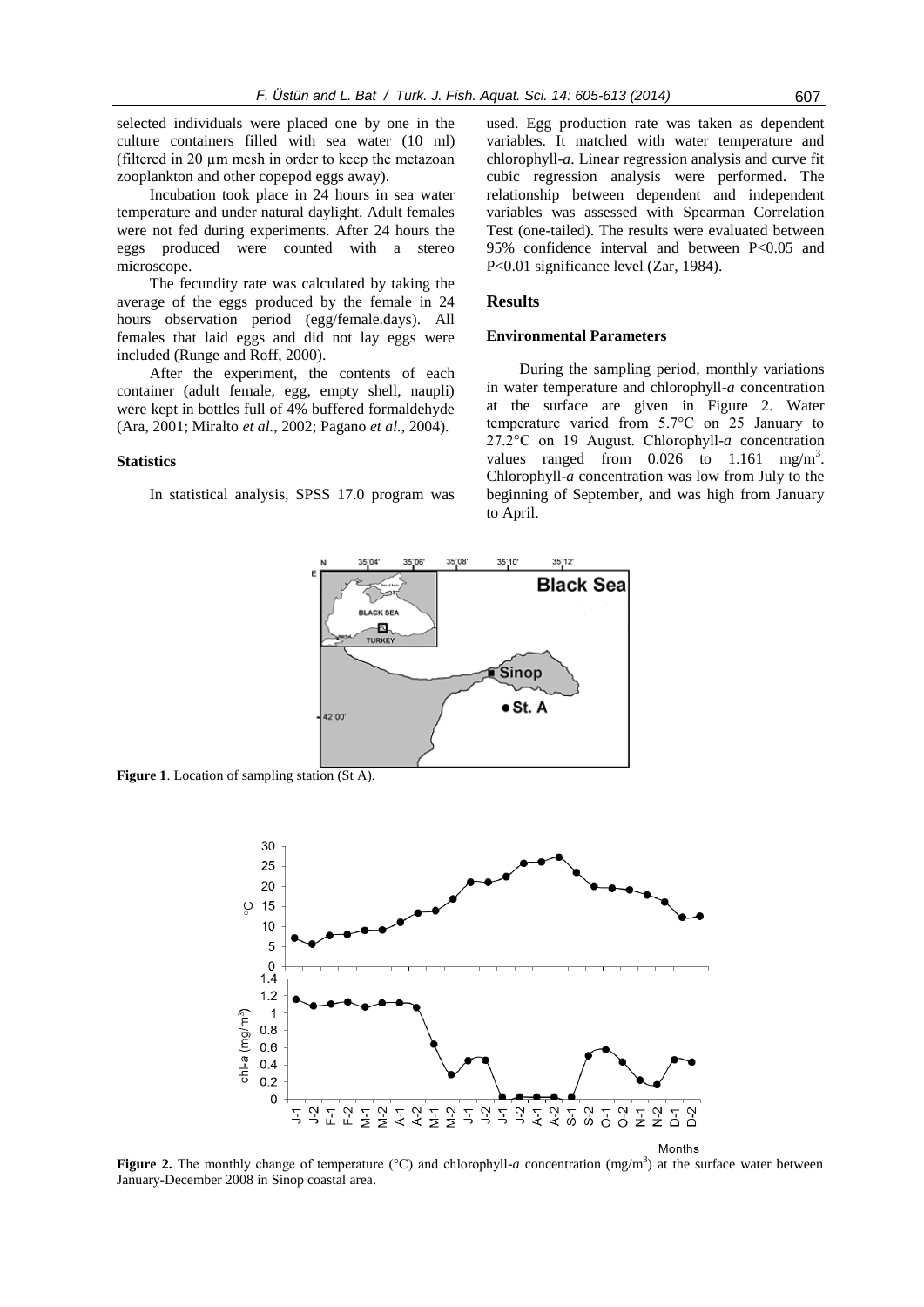selected individuals were placed one by one in the culture containers filled with sea water (10 ml) (filtered in 20 µm mesh in order to keep the metazoan zooplankton and other copepod eggs away).

Incubation took place in 24 hours in sea water temperature and under natural daylight. Adult females were not fed during experiments. After 24 hours the eggs produced were counted with a stereo microscope.

The fecundity rate was calculated by taking the average of the eggs produced by the female in 24 hours observation period (egg/female.days). All females that laid eggs and did not lay eggs were included (Runge and Roff, 2000).

After the experiment, the contents of each container (adult female, egg, empty shell, naupli) were kept in bottles full of 4% buffered formaldehyde (Ara, 2001; Miralto *et al.*, 2002; Pagano *et al.*, 2004).

#### **Statistics**

In statistical analysis, SPSS 17.0 program was

used. Egg production rate was taken as dependent variables. It matched with water temperature and chlorophyll-*a*. Linear regression analysis and curve fit cubic regression analysis were performed. The relationship between dependent and independent variables was assessed with Spearman Correlation Test (one-tailed). The results were evaluated between 95% confidence interval and between P<0.05 and P<0.01 significance level (Zar, 1984).

## **Results**

#### **Environmental Parameters**

During the sampling period, monthly variations in water temperature and chlorophyll-*a* concentration at the surface are given in Figure 2. Water temperature varied from 5.7°C on 25 January to 27.2°C on 19 August. Chlorophyll-*a* concentration values ranged from  $0.026$  to  $1.161$  mg/m<sup>3</sup>. Chlorophyll-*a* concentration was low from July to the beginning of September, and was high from January to April.



**Figure 1.** Location of sampling station (St A).



**Figure 2.** The monthly change of temperature ( $\degree$ C) and chlorophyll-*a* concentration (mg/m<sup>3</sup>) at the surface water between January-December 2008 in Sinop coastal area.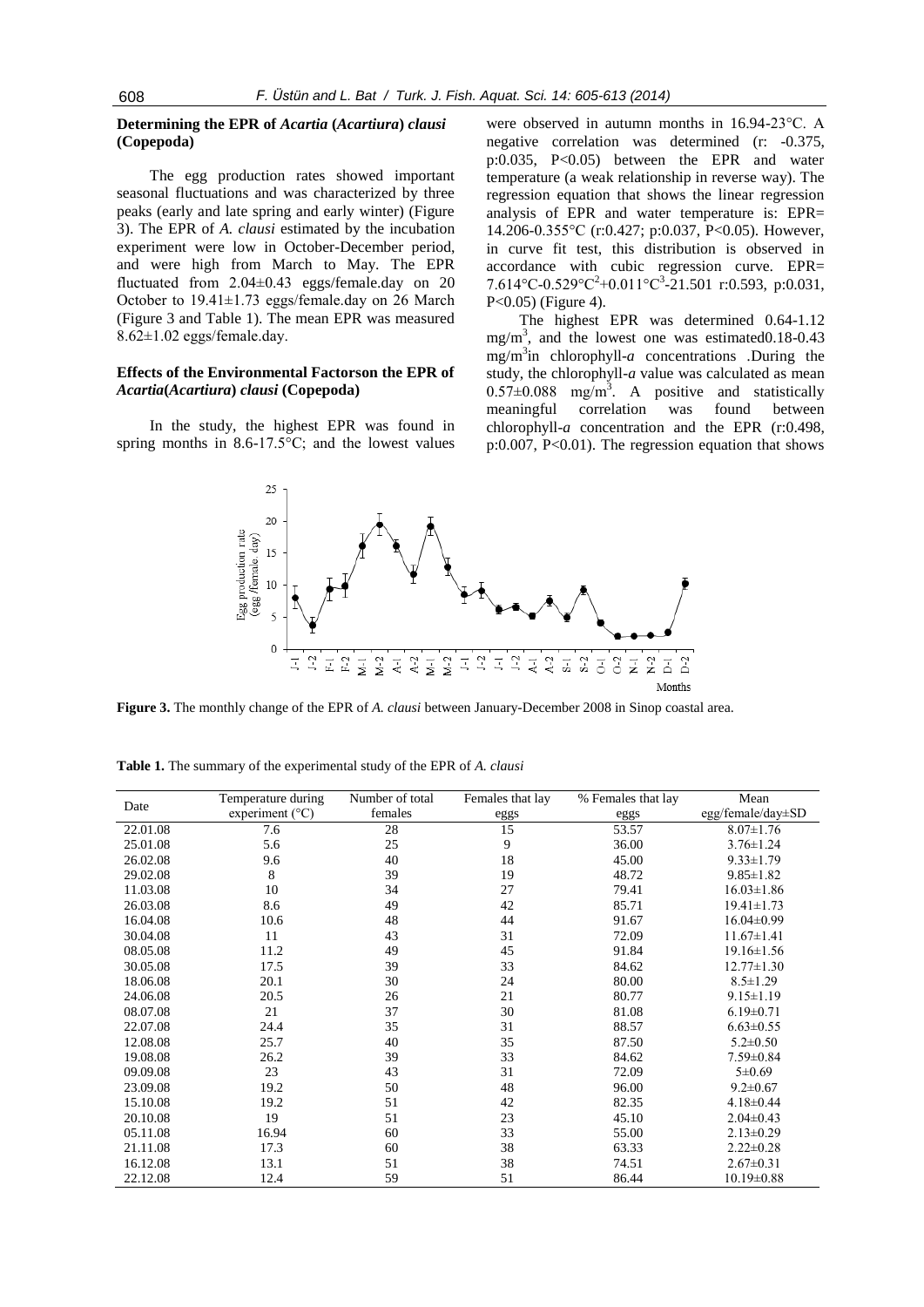## **Determining the EPR of** *Acartia* **(***Acartiura***)** *clausi* **(Copepoda)**

The egg production rates showed important seasonal fluctuations and was characterized by three peaks (early and late spring and early winter) (Figure 3). The EPR of *A. clausi* estimated by the incubation experiment were low in October-December period, and were high from March to May. The EPR fluctuated from 2.04±0.43 eggs/female.day on 20 October to 19.41±1.73 eggs/female.day on 26 March (Figure 3 and Table 1). The mean EPR was measured 8.62±1.02 eggs/female.day.

## **Effects of the Environmental Factorson the EPR of**  *Acartia***(***Acartiura***)** *clausi* **(Copepoda)**

In the study, the highest EPR was found in spring months in  $8.6 - 17.5^{\circ}$ C; and the lowest values

25

were observed in autumn months in 16.94-23°C. A negative correlation was determined (r: -0.375, p:0.035, P<0.05) between the EPR and water temperature (a weak relationship in reverse way). The regression equation that shows the linear regression analysis of EPR and water temperature is: EPR= 14.206-0.355°C (r:0.427; p:0.037, P<0.05). However, in curve fit test, this distribution is observed in accordance with cubic regression curve. EPR= 7.614°C-0.529°C<sup>2</sup>+0.011°C<sup>3</sup>-21.501 r:0.593, p:0.031, P<0.05) (Figure 4).

The highest EPR was determined 0.64-1.12 mg/m<sup>3</sup> , and the lowest one was estimated0.18-0.43 mg/m<sup>3</sup> in chlorophyll-*a* concentrations *.*During the study, the chlorophyll-*a* value was calculated as mean  $0.57\pm0.088$  mg/m<sup>3</sup>. A positive and statistically meaningful correlation was found between chlorophyll-*a* concentration and the EPR (r:0.498, p:0.007, P<0.01). The regression equation that shows



**Figure 3.** The monthly change of the EPR of *A. clausi* between January-December 2008 in Sinop coastal area.

| Date<br>experiment $(^{\circ}C)$<br>females<br>eggs<br>eggs<br>53.57<br>22.01.08<br>28<br>15<br>7.6 | egg/female/day $\pm$ SD<br>$8.07 \pm 1.76$ |
|-----------------------------------------------------------------------------------------------------|--------------------------------------------|
|                                                                                                     |                                            |
|                                                                                                     |                                            |
| 9<br>5.6<br>25<br>36.00<br>25.01.08                                                                 | $3.76 \pm 1.24$                            |
| 18<br>26.02.08<br>40<br>45.00<br>9.6                                                                | $9.33 \pm 1.79$                            |
| 8<br>39<br>19<br>48.72<br>29.02.08                                                                  | $9.85 \pm 1.82$                            |
| 10<br>27<br>11.03.08<br>34<br>79.41                                                                 | $16.03 \pm 1.86$                           |
| 8.6<br>49<br>26.03.08<br>42<br>85.71                                                                | $19.41 \pm 1.73$                           |
| 48<br>16.04.08<br>10.6<br>44<br>91.67                                                               | $16.04 \pm 0.99$                           |
| 11<br>43<br>31<br>30.04.08<br>72.09                                                                 | $11.67 \pm 1.41$                           |
| 11.2<br>49<br>45<br>91.84<br>08.05.08                                                               | $19.16 \pm 1.56$                           |
| 17.5<br>39<br>33<br>30.05.08<br>84.62                                                               | $12.77 \pm 1.30$                           |
| 30<br>24<br>20.1<br>80.00<br>18.06.08                                                               | $8.5 \pm 1.29$                             |
| 21<br>20.5<br>24.06.08<br>26<br>80.77                                                               | $9.15 \pm 1.19$                            |
| 21<br>37<br>30<br>81.08<br>08.07.08                                                                 | $6.19 \pm 0.71$                            |
| 35<br>31<br>88.57<br>22.07.08<br>24.4                                                               | $6.63 \pm 0.55$                            |
| 25.7<br>40<br>35<br>87.50<br>12.08.08                                                               | $5.2 \pm 0.50$                             |
| 33<br>26.2<br>39<br>19.08.08<br>84.62                                                               | $7.59 \pm 0.84$                            |
| 23<br>43<br>31<br>72.09<br>09.09.08                                                                 | $5 \pm 0.69$                               |
| 50<br>48<br>96.00<br>19.2<br>23.09.08                                                               | $9.2 \pm 0.67$                             |
| 19.2<br>51<br>42<br>82.35<br>15.10.08                                                               | $4.18 \pm 0.44$                            |
| 19<br>20.10.08<br>51<br>23<br>45.10                                                                 | $2.04 \pm 0.43$                            |
| 33<br>05.11.08<br>16.94<br>60<br>55.00                                                              | $2.13 \pm 0.29$                            |
| 38<br>21.11.08<br>17.3<br>63.33<br>60                                                               | $2.22 \pm 0.28$                            |
| 38<br>13.1<br>51<br>74.51<br>16.12.08                                                               | $2.67 \pm 0.31$                            |
| 22.12.08<br>12.4<br>59<br>51<br>86.44                                                               | $10.19 \pm 0.88$                           |

**Table 1.** The summary of the experimental study of the EPR of *A. clausi*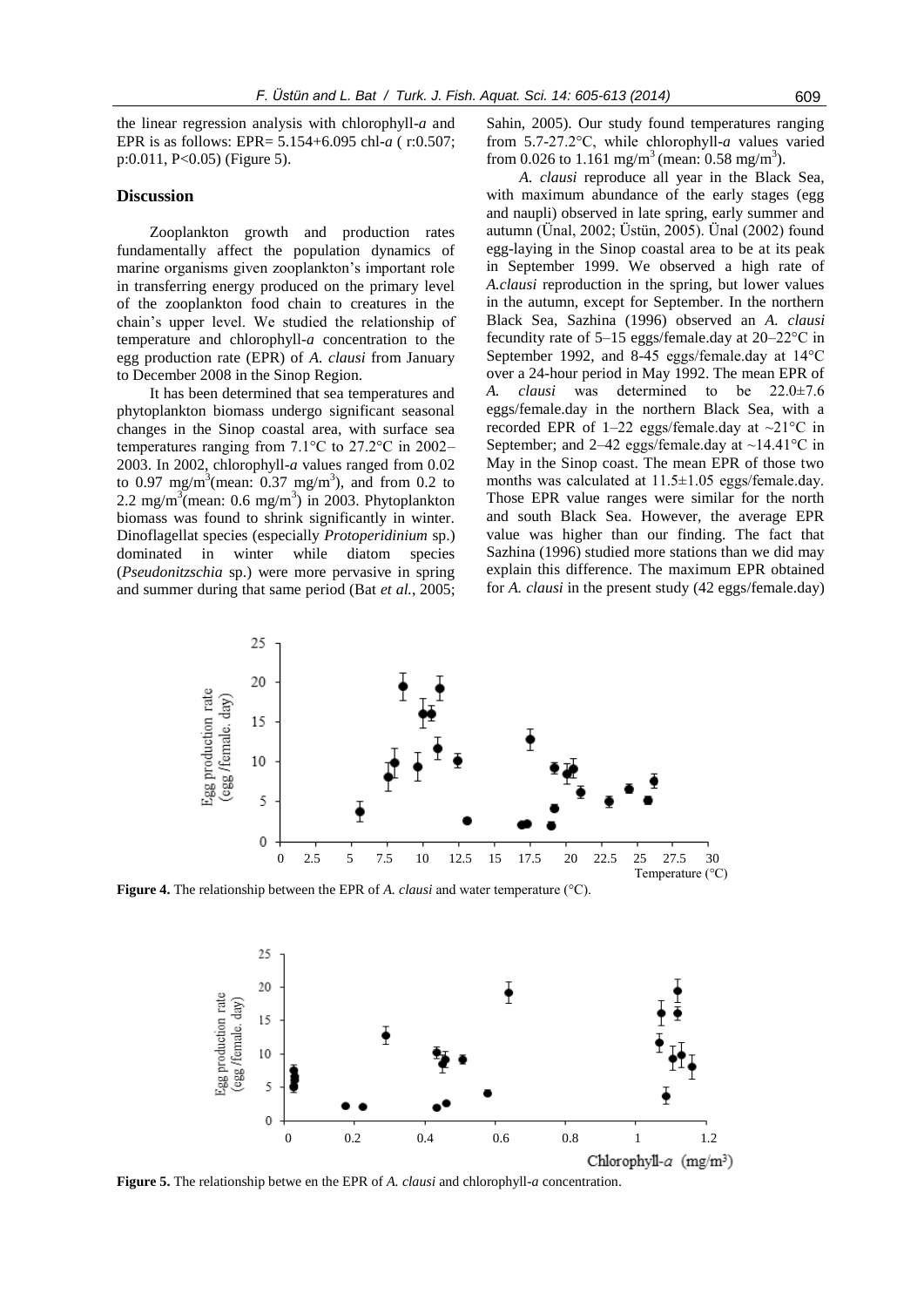the linear regression analysis with chlorophyll-*a* and EPR is as follows: EPR= 5.154+6.095 chl-*a* ( r:0.507; p:0.011, P<0.05) (Figure 5).

## **Discussion**

Zooplankton growth and production rates fundamentally affect the population dynamics of marine organisms given zooplankton's important role in transferring energy produced on the primary level of the zooplankton food chain to creatures in the chain's upper level. We studied the relationship of temperature and chlorophyll-*a* concentration to the egg production rate (EPR) of *A. clausi* from January to December 2008 in the Sinop Region.

It has been determined that sea temperatures and phytoplankton biomass undergo significant seasonal changes in the Sinop coastal area, with surface sea temperatures ranging from 7.1°C to 27.2°C in 2002– 2003. In 2002, chlorophyll-*a* values ranged from 0.02 to 0.97 mg/m<sup>3</sup>(mean:  $0.37$  mg/m<sup>3</sup>), and from 0.2 to 2.2 mg/m<sup>3</sup>(mean: 0.6 mg/m<sup>3</sup>) in 2003. Phytoplankton biomass was found to shrink significantly in winter. Dinoflagellat species (especially *Protoperidinium* sp.) dominated in winter while diatom species (*Pseudonitzschia* sp.) were more pervasive in spring and summer during that same period (Bat *et al.*, 2005;

Sahin, 2005). Our study found temperatures ranging from 5.7-27.2°C, while chlorophyll-*a* values varied from 0.026 to 1.161 mg/m<sup>3</sup> (mean: 0.58 mg/m<sup>3</sup>).

*A. clausi* reproduce all year in the Black Sea, with maximum abundance of the early stages (egg and naupli) observed in late spring, early summer and autumn (Ünal, 2002; Üstün, 2005). Ünal (2002) found egg-laying in the Sinop coastal area to be at its peak in September 1999. We observed a high rate of *A.clausi* reproduction in the spring, but lower values in the autumn, except for September. In the northern Black Sea, Sazhina (1996) observed an *A. clausi* fecundity rate of 5–15 eggs/female.day at 20–22°C in September 1992, and 8-45 eggs/female.day at 14°C over a 24-hour period in May 1992. The mean EPR of *A. clausi* was determined to be 22.0±7.6 eggs/female.day in the northern Black Sea, with a recorded EPR of 1–22 eggs/female.day at  $\sim$ 21°C in September; and 2–42 eggs/female.day at ~14.41°C in May in the Sinop coast. The mean EPR of those two months was calculated at 11.5±1.05 eggs/female.day. Those EPR value ranges were similar for the north and south Black Sea. However, the average EPR value was higher than our finding. The fact that Sazhina (1996) studied more stations than we did may explain this difference. The maximum EPR obtained for *A. clausi* in the present study (42 eggs/female.day)



**Figure 4.** The relationship between the EPR of *A. clausi* and water temperature (°C).



**Figure 5.** The relationship betwe en the EPR of *A. clausi* and chlorophyll-*a* concentration.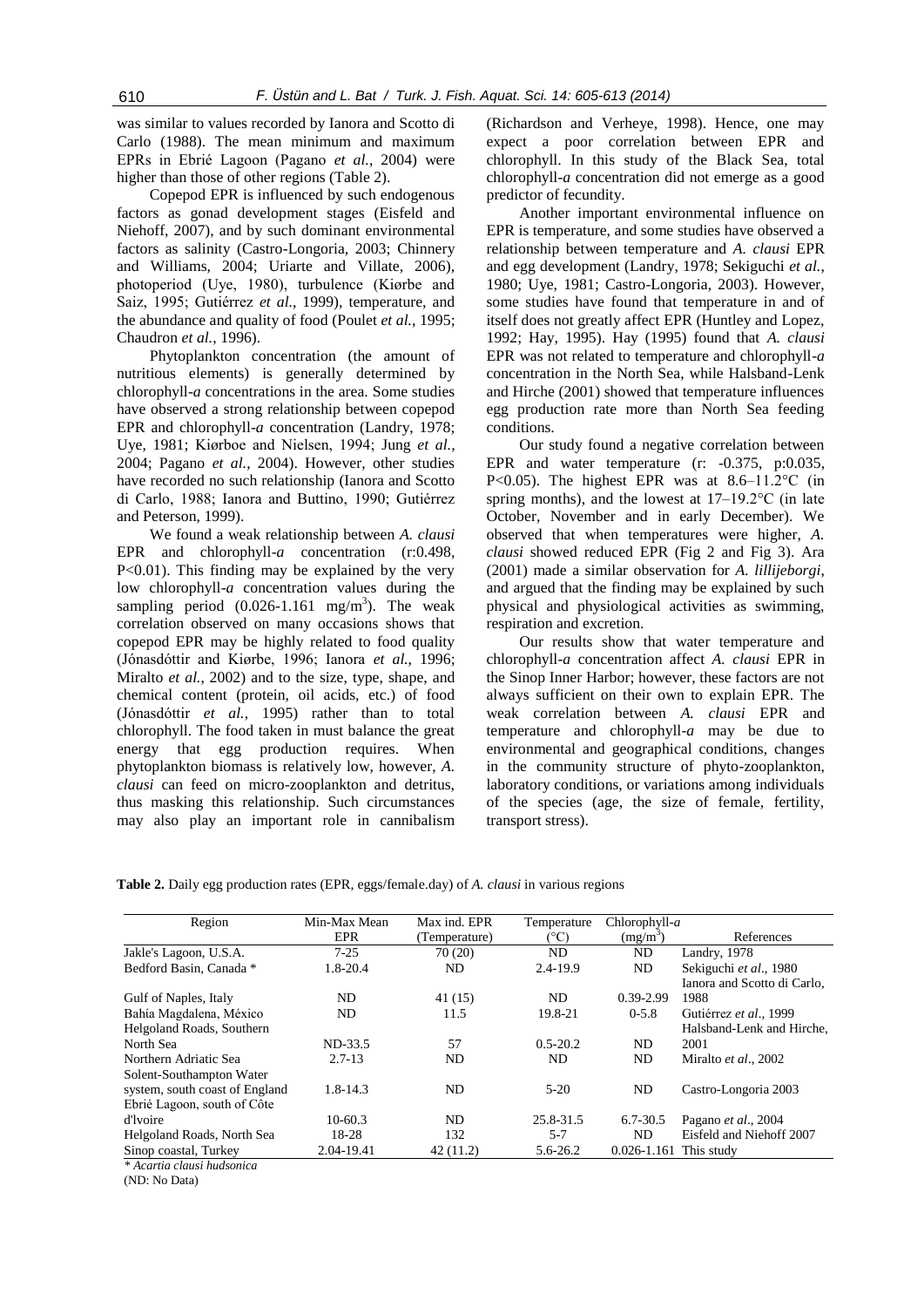was similar to values recorded by Ianora and Scotto di Carlo (1988). The mean minimum and maximum EPRs in Ebrié Lagoon (Pagano *et al.*, 2004) were higher than those of other regions (Table 2).

Copepod EPR is influenced by such endogenous factors as gonad development stages (Eisfeld and Niehoff, 2007), and by such dominant environmental factors as salinity (Castro-Longoria, 2003; Chinnery and Williams, 2004; Uriarte and Villate, 2006), photoperiod (Uye, 1980), turbulence (Kiørbe and Saiz, 1995; Gutiérrez *et al.*, 1999), temperature, and the abundance and quality of food (Poulet *et al.*, 1995; Chaudron *et al.*, 1996).

Phytoplankton concentration (the amount of nutritious elements) is generally determined by chlorophyll-*a* concentrations in the area. Some studies have observed a strong relationship between copepod EPR and chlorophyll-*a* concentration (Landry, 1978; Uye, 1981; Kiørboe and Nielsen, 1994; Jung *et al.*, 2004; Pagano *et al.*, 2004). However, other studies have recorded no such relationship (Ianora and Scotto di Carlo, 1988; Ianora and Buttino, 1990; Gutiérrez and Peterson, 1999).

We found a weak relationship between *A. clausi*  EPR and chlorophyll-a concentration (r:0.498, P<0.01). This finding may be explained by the very low chlorophyll-*a* concentration values during the sampling period  $(0.026 - 1.161 \text{ mg/m}^3)$ . The weak correlation observed on many occasions shows that copepod EPR may be highly related to food quality (Jónasdóttir and Kiørbe, 1996; Ianora *et al.*, 1996; Miralto *et al.*, 2002) and to the size, type, shape, and chemical content (protein, oil acids, etc.) of food (Jónasdóttir *et al.*, 1995) rather than to total chlorophyll. The food taken in must balance the great energy that egg production requires. When phytoplankton biomass is relatively low, however, *A. clausi* can feed on micro-zooplankton and detritus, thus masking this relationship. Such circumstances may also play an important role in cannibalism

(Richardson and Verheye, 1998). Hence, one may expect a poor correlation between EPR and chlorophyll. In this study of the Black Sea, total chlorophyll-*a* concentration did not emerge as a good predictor of fecundity.

Another important environmental influence on EPR is temperature, and some studies have observed a relationship between temperature and *A. clausi* EPR and egg development (Landry, 1978; Sekiguchi *et al.*, 1980; Uye, 1981; Castro-Longoria, 2003). However, some studies have found that temperature in and of itself does not greatly affect EPR (Huntley and Lopez, 1992; Hay, 1995). Hay (1995) found that *A. clausi*  EPR was not related to temperature and chlorophyll-*a* concentration in the North Sea, while Halsband-Lenk and Hirche (2001) showed that temperature influences egg production rate more than North Sea feeding conditions.

Our study found a negative correlation between EPR and water temperature (r: -0.375, p:0.035, P<0.05). The highest EPR was at 8.6–11.2°C (in spring months), and the lowest at 17–19.2°C (in late October, November and in early December). We observed that when temperatures were higher, *A. clausi* showed reduced EPR (Fig 2 and Fig 3). Ara (2001) made a similar observation for *A. lillijeborgi*, and argued that the finding may be explained by such physical and physiological activities as swimming, respiration and excretion.

Our results show that water temperature and chlorophyll-*a* concentration affect *A. clausi* EPR in the Sinop Inner Harbor; however, these factors are not always sufficient on their own to explain EPR. The weak correlation between *A. clausi* EPR and temperature and chlorophyll-*a* may be due to environmental and geographical conditions, changes in the community structure of phyto-zooplankton, laboratory conditions, or variations among individuals of the species (age, the size of female, fertility, transport stress).

|  | Table 2. Daily egg production rates (EPR, eggs/female.day) of A. clausi in various regions |  |  |  |  |
|--|--------------------------------------------------------------------------------------------|--|--|--|--|
|  |                                                                                            |  |  |  |  |

| Region                         | Min-Max Mean | Max ind. EPR  | Temperature  | Chlorophyll- $a$           |                             |
|--------------------------------|--------------|---------------|--------------|----------------------------|-----------------------------|
|                                | <b>EPR</b>   | (Temperature) | (°C)         | $(mg/m^3)$                 | References                  |
| Jakle's Lagoon, U.S.A.         | $7 - 25$     | 70 (20)       | ND           | ND                         | Landry, 1978                |
| Bedford Basin, Canada *        | 1.8-20.4     | ND            | 2.4-19.9     | ND                         | Sekiguchi et al., 1980      |
|                                |              |               |              |                            | Ianora and Scotto di Carlo. |
| Gulf of Naples, Italy          | ND           | 41 (15)       | ND           | 0.39-2.99                  | 1988                        |
| Bahía Magdalena, México        | ND.          | 11.5          | 19.8-21      | $0 - 5.8$                  | Gutiérrez et al., 1999      |
| Helgoland Roads, Southern      |              |               |              |                            | Halsband-Lenk and Hirche.   |
| North Sea                      | ND-33.5      | 57            | $0.5 - 20.2$ | ND.                        | 2001                        |
| Northern Adriatic Sea          | $2.7 - 13$   | ND.           | ND.          | ND.                        | Miralto et al., 2002        |
| Solent-Southampton Water       |              |               |              |                            |                             |
| system, south coast of England | $1.8 - 14.3$ | ND.           | $5-20$       | ND                         | Castro-Longoria 2003        |
| Ebrié Lagoon, south of Côte    |              |               |              |                            |                             |
| d'Ivoire                       | $10-60.3$    | ND.           | 25.8-31.5    | $6.7 - 30.5$               | Pagano et al., 2004         |
| Helgoland Roads, North Sea     | 18-28        | 132           | $5 - 7$      | <b>ND</b>                  | Eisfeld and Niehoff 2007    |
| Sinop coastal, Turkey          | 2.04-19.41   | 42(11.2)      | $5.6 - 26.2$ | $0.026 - 1.161$ This study |                             |
| * Acartia clausi hudsonica     |              |               |              |                            |                             |

(ND: No Data)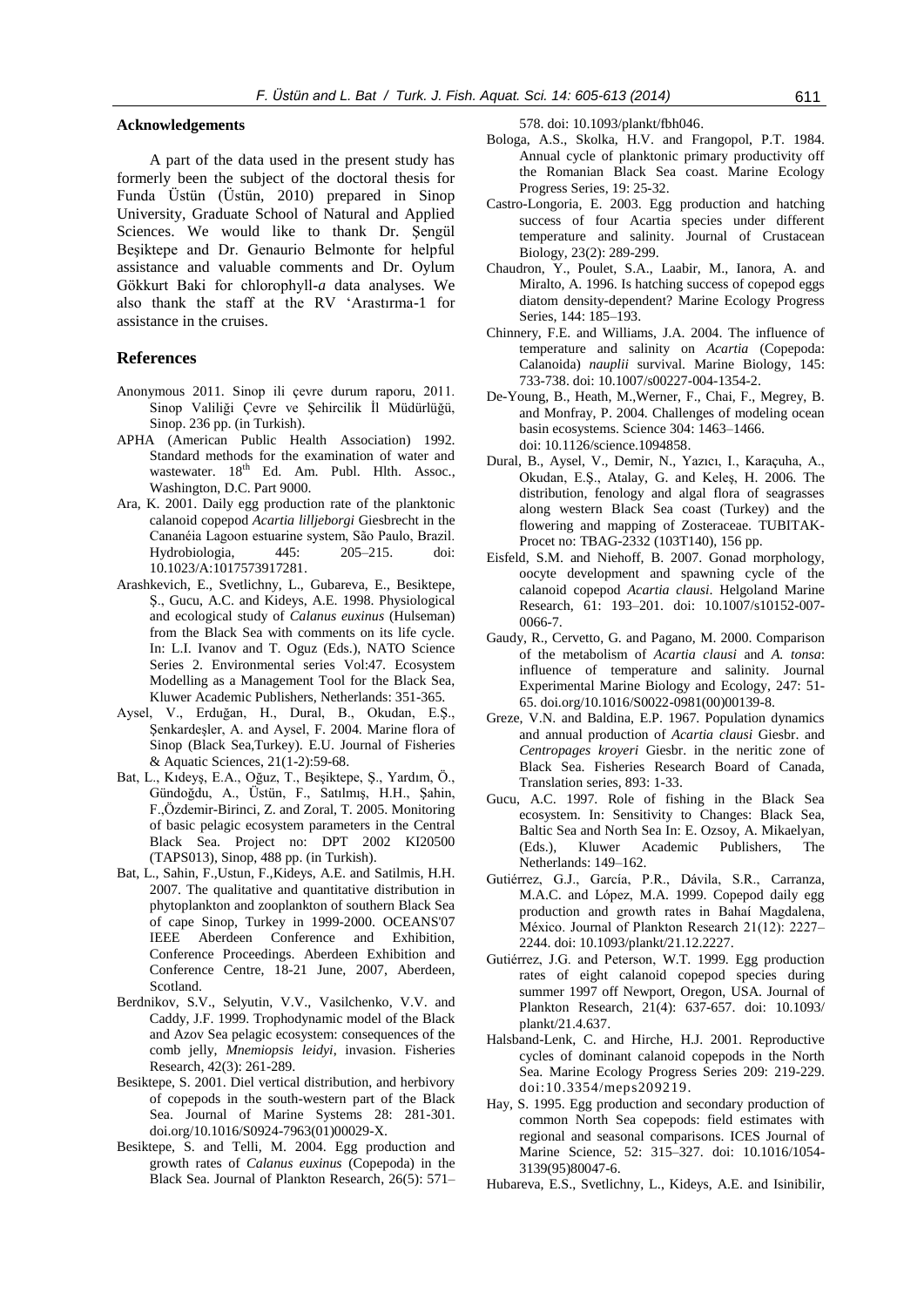## **Acknowledgements**

A part of the data used in the present study has formerly been the subject of the doctoral thesis for Funda Üstün (Üstün, 2010) prepared in Sinop University, Graduate School of Natural and Applied Sciences. We would like to thank Dr. Şengül Beşiktepe and Dr. Genaurio Belmonte for helpful assistance and valuable comments and Dr. Oylum Gökkurt Baki for chlorophyll*-a* data analyses. We also thank the staff at the RV 'Arastırma-1 for assistance in the cruises.

#### **References**

- Anonymous 2011. Sinop ili çevre durum raporu, 2011. Sinop Valiliği Çevre ve Şehircilik İl Müdürlüğü, Sinop. 236 pp. (in Turkish).
- APHA (American Public Health Association) 1992. Standard methods for the examination of water and wastewater. 18<sup>th</sup> Ed. Am. Publ. Hlth. Assoc., Washington, D.C. Part 9000.
- Ara, K. 2001. Daily egg production rate of the planktonic calanoid copepod *Acartia lilljeborgi* Giesbrecht in the Cananéia Lagoon estuarine system, São Paulo, Brazil. Hydrobiologia, 445: 205–215. doi: 10.1023/A:1017573917281.
- Arashkevich, E., Svetlichny, L., Gubareva, E., Besiktepe, Ş., Gucu, A.C. and Kideys, A.E. 1998. Physiological and ecological study of *Calanus euxinus* (Hulseman) from the Black Sea with comments on its life cycle. In: L.I. Ivanov and T. Oguz (Eds.), NATO Science Series 2. Environmental series Vol:47. Ecosystem Modelling as a Management Tool for the Black Sea, Kluwer Academic Publishers, Netherlands: 351-365.
- Aysel, V., Erduğan, H., Dural, B., Okudan, E.Ş., Şenkardeşler, A. and Aysel, F. 2004. Marine flora of Sinop (Black Sea,Turkey). E.U. Journal of Fisheries & Aquatic Sciences, 21(1-2):59-68.
- Bat, L., Kıdeyş, E.A., Oğuz, T., Beşiktepe, Ş., Yardım, Ö., Gündoğdu, A., Üstün, F., Satılmış, H.H., Şahin, F.,Özdemir-Birinci, Z. and Zoral, T. 2005. Monitoring of basic pelagic ecosystem parameters in the Central Black Sea. Project no: DPT 2002 KI20500 (TAPS013), Sinop, 488 pp. (in Turkish).
- Bat, L., Sahin, F.,Ustun, F.,Kideys, A.E. and Satilmis, H.H. 2007. The qualitative and quantitative distribution in phytoplankton and zooplankton of southern Black Sea of cape Sinop, Turkey in 1999-2000. OCEANS'07 IEEE Aberdeen Conference and Exhibition, Conference Proceedings. Aberdeen Exhibition and Conference Centre, 18-21 June, 2007, Aberdeen, Scotland.
- Berdnikov, S.V., Selyutin, V.V., Vasilchenko, V.V. and Caddy, J.F. 1999. Trophodynamic model of the Black and Azov Sea pelagic ecosystem: consequences of the comb jelly, *Mnemiopsis leidyi*, invasion. Fisheries Research, 42(3): 261-289.
- Besiktepe, S. 2001. Diel vertical distribution, and herbivory of copepods in the south-western part of the Black Sea. Journal of Marine Systems 28: 281-301. doi.org/10.1016/S0924-7963(01)00029-X.
- Besiktepe, S. and Telli, M. 2004. Egg production and growth rates of *Calanus euxinus* (Copepoda) in the Black Sea. Journal of Plankton Research, 26(5): 571–

578. doi: 10.1093/plankt/fbh046.

- Bologa, A.S., Skolka, H.V. and Frangopol, P.T. 1984. Annual cycle of planktonic primary productivity off the Romanian Black Sea coast. Marine Ecology Progress Series, 19: 25-32.
- Castro-Longoria, E. 2003. Egg production and hatching success of four Acartia species under different temperature and salinity. Journal of Crustacean Biology, 23(2): 289-299.
- Chaudron, Y., Poulet, S.A., Laabir, M., Ianora, A. and Miralto, A. 1996. Is hatching success of copepod eggs diatom density-dependent? Marine Ecology Progress Series, 144: 185–193.
- Chinnery, F.E. and Williams, J.A. 2004. The influence of temperature and salinity on *Acartia* (Copepoda: Calanoida) *nauplii* survival. Marine Biology, 145: 733-738. doi: 10.1007/s00227-004-1354-2.
- De-Young, B., Heath, M.,Werner, F., Chai, F., Megrey, B. and Monfray, P. 2004. Challenges of modeling ocean basin ecosystems. Science 304: 1463–1466. doi: 10.1126/science.1094858.
- Dural, B., Aysel, V., Demir, N., Yazıcı, I., Karaçuha, A., Okudan, E.Ş., Atalay, G. and Keleş, H. 2006. The distribution, fenology and algal flora of seagrasses along western Black Sea coast (Turkey) and the flowering and mapping of Zosteraceae. TUBITAK-Procet no: TBAG-2332 (103T140), 156 pp.
- Eisfeld, S.M. and Niehoff, B. 2007. Gonad morphology, oocyte development and spawning cycle of the calanoid copepod *Acartia clausi*. Helgoland Marine Research, 61: 193–201. doi: 10.1007/s10152-007- 0066-7.
- Gaudy, R., Cervetto, G. and Pagano, M. 2000. Comparison of the metabolism of *Acartia clausi* and *A. tonsa*: influence of temperature and salinity. Journal Experimental Marine Biology and Ecology, 247: 51- 65. doi.org/10.1016/S0022-0981(00)00139-8.
- Greze, V.N. and Baldina, E.P. 1967. Population dynamics and annual production of *Acartia clausi* Giesbr. and *Centropages kroyeri* Giesbr. in the neritic zone of Black Sea. Fisheries Research Board of Canada, Translation series, 893: 1-33.
- Gucu, A.C. 1997. Role of fishing in the Black Sea ecosystem. In: Sensitivity to Changes: Black Sea, Baltic Sea and North Sea In: E. Ozsoy, A. Mikaelyan, (Eds.), Kluwer Academic Publishers, The Netherlands: 149–162.
- Gutiérrez, G.J., García, P.R., Dávila, S.R., Carranza, M.A.C. and López, M.A. 1999. Copepod daily egg production and growth rates in Bahaí Magdalena, México. Journal of Plankton Research 21(12): 2227– 2244. doi: 10.1093/plankt/21.12.2227.
- Gutiérrez, J.G. and Peterson, W.T. 1999. Egg production rates of eight calanoid copepod species during summer 1997 off Newport, Oregon, USA. Journal of Plankton Research, 21(4): 637-657. doi: 10.1093/ plankt/21.4.637.
- Halsband-Lenk, C. and Hirche, H.J. 2001. Reproductive cycles of dominant calanoid copepods in the North Sea. Marine Ecology Progress Series 209: 219-229. doi:10.3354/meps209219.
- Hay, S. 1995. Egg production and secondary production of common North Sea copepods: field estimates with regional and seasonal comparisons. ICES Journal of Marine Science, 52: 315–327. doi: 10.1016/1054- 3139(95)80047-6.
- Hubareva, E.S., Svetlichny, L., Kideys, A.E. and Isinibilir,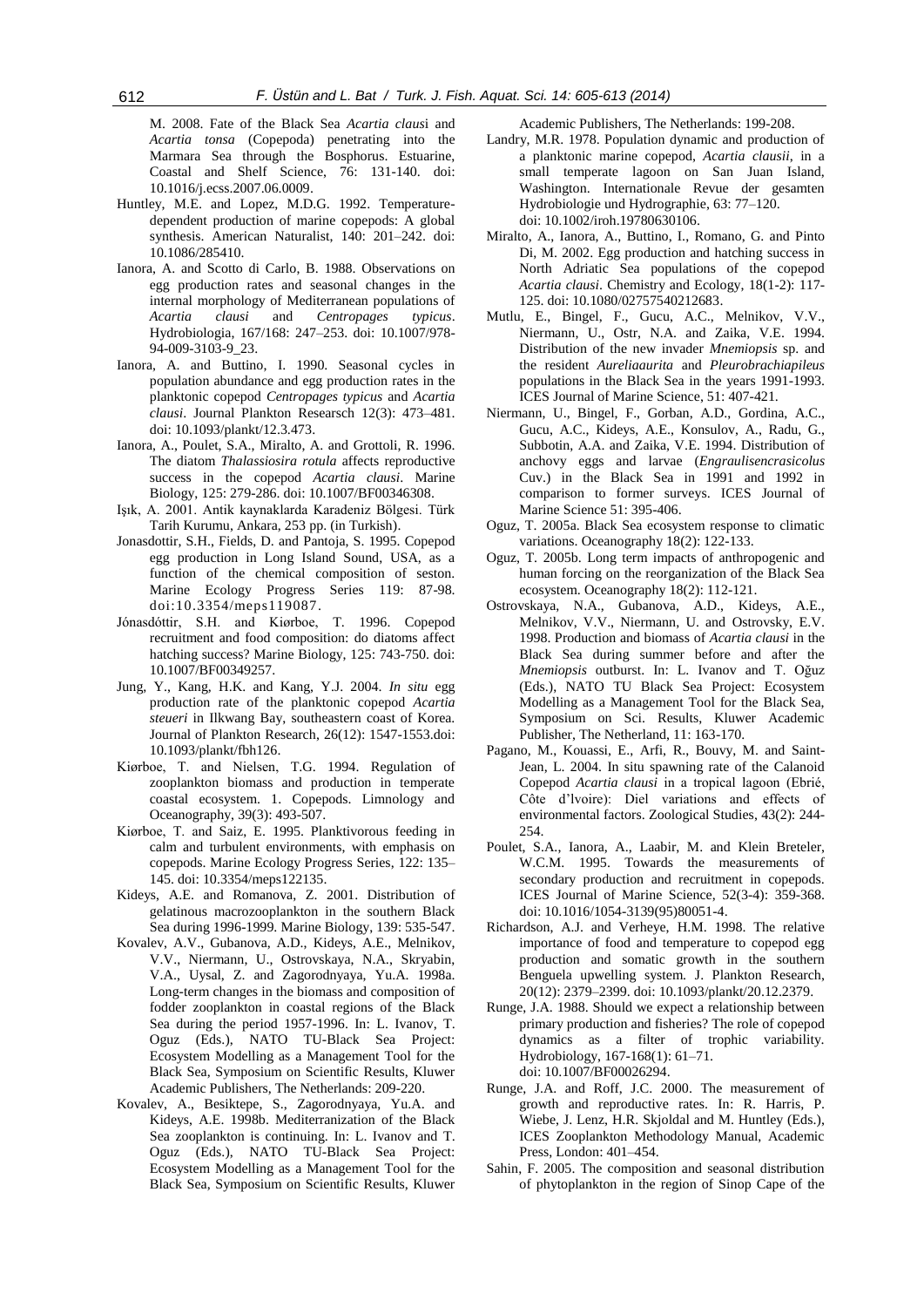M. 2008. Fate of the Black Sea *Acartia claus*i and *Acartia tonsa* (Copepoda) penetrating into the Marmara Sea through the Bosphorus. Estuarine, Coastal and Shelf Science, 76: 131-140. doi: 10.1016/j.ecss.2007.06.0009.

- Huntley, M.E. and Lopez, M.D.G. 1992. Temperaturedependent production of marine copepods: A global synthesis. American Naturalist, 140: 201–242. doi: 10.1086/285410.
- Ianora, A. and Scotto di Carlo, B. 1988. Observations on egg production rates and seasonal changes in the internal morphology of Mediterranean populations of *Acartia clausi* and *Centropages typicus*. Hydrobiologia, 167/168: 247–253. doi: 10.1007/978- 94-009-3103-9\_23.
- Ianora, A. and Buttino, I. 1990. Seasonal cycles in population abundance and egg production rates in the planktonic copepod *Centropages typicus* and *Acartia clausi*. Journal Plankton Researsch 12(3): 473–481. doi: 10.1093/plankt/12.3.473.
- Ianora, A., Poulet, S.A., Miralto, A. and Grottoli, R. 1996. The diatom *Thalassiosira rotula* affects reproductive success in the copepod *Acartia clausi*. Marine Biology, 125: 279-286. doi: 10.1007/BF00346308.
- Işık, A. 2001. Antik kaynaklarda Karadeniz Bölgesi. Türk Tarih Kurumu, Ankara, 253 pp. (in Turkish).
- Jonasdottir, S.H., Fields, D. and Pantoja, S. 1995. Copepod egg production in Long Island Sound, USA, as a function of the chemical composition of seston. Marine Ecology Progress Series 119: 87-98. doi:10.3354/meps119087.
- Jónasdóttir, S.H. and Kiørboe, T. 1996. Copepod recruitment and food composition: do diatoms affect hatching success? Marine Biology, 125: 743-750. doi: 10.1007/BF00349257.
- Jung, Y., Kang, H.K. and Kang, Y.J. 2004. *In situ* egg production rate of the planktonic copepod *Acartia steueri* in Ilkwang Bay, southeastern coast of Korea. Journal of Plankton Research, 26(12): 1547-1553.doi: 10.1093/plankt/fbh126.
- Kiørboe, T. and Nielsen, T.G. 1994. Regulation of zooplankton biomass and production in temperate coastal ecosystem. 1. Copepods. Limnology and Oceanography, 39(3): 493-507.
- Kiørboe, T. and Saiz, E. 1995. Planktivorous feeding in calm and turbulent environments, with emphasis on copepods. Marine Ecology Progress Series, 122: 135– 145. doi: 10.3354/meps122135.
- Kideys, A.E. and Romanova, Z. 2001. Distribution of gelatinous macrozooplankton in the southern Black Sea during 1996-1999. Marine Biology, 139: 535-547.
- Kovalev, A.V., Gubanova, A.D., Kideys, A.E., Melnikov, V.V., Niermann, U., Ostrovskaya, N.A., Skryabin, V.A., Uysal, Z. and Zagorodnyaya, Yu.A. 1998a. Long-term changes in the biomass and composition of fodder zooplankton in coastal regions of the Black Sea during the period 1957-1996. In: L. Ivanov, T. Oguz (Eds.), NATO TU-Black Sea Project: Ecosystem Modelling as a Management Tool for the Black Sea, Symposium on Scientific Results, Kluwer Academic Publishers, The Netherlands: 209-220.
- Kovalev, A., Besiktepe, S., Zagorodnyaya, Yu.A. and Kideys, A.E. 1998b. Mediterranization of the Black Sea zooplankton is continuing. In: L. Ivanov and T. Oguz (Eds.), NATO TU-Black Sea Project: Ecosystem Modelling as a Management Tool for the Black Sea, Symposium on Scientific Results, Kluwer

Academic Publishers, The Netherlands: 199-208.

- Landry, M.R. 1978. Population dynamic and production of a planktonic marine copepod, *Acartia clausii*, in a small temperate lagoon on San Juan Island, Washington. Internationale Revue der gesamten Hydrobiologie und Hydrographie, 63: 77–120. doi: 10.1002/iroh.19780630106.
- Miralto, A., Ianora, A., Buttino, I., Romano, G. and Pinto Di, M. 2002. Egg production and hatching success in North Adriatic Sea populations of the copepod *Acartia clausi*. Chemistry and Ecology, 18(1-2): 117- 125. doi: 10.1080/02757540212683.
- Mutlu, E., Bingel, F., Gucu, A.C., Melnikov, V.V., Niermann, U., Ostr, N.A. and Zaika, V.E. 1994. Distribution of the new invader *Mnemiopsis* sp. and the resident *Aureliaaurita* and *Pleurobrachiapileus* populations in the Black Sea in the years 1991-1993. ICES Journal of Marine Science, 51: 407-421.
- Niermann, U., Bingel, F., Gorban, A.D., Gordina, A.C., Gucu, A.C., Kideys, A.E., Konsulov, A., Radu, G., Subbotin, A.A. and Zaika, V.E. 1994. Distribution of anchovy eggs and larvae (*Engraulisencrasicolus* Cuv.) in the Black Sea in 1991 and 1992 in comparison to former surveys. ICES Journal of Marine Science 51: 395-406.
- Oguz, T. 2005a. Black Sea ecosystem response to climatic variations. Oceanography 18(2): 122-133.
- Oguz, T. 2005b. Long term impacts of anthropogenic and human forcing on the reorganization of the Black Sea ecosystem. Oceanography 18(2): 112-121.
- Ostrovskaya, N.A., Gubanova, A.D., Kideys, A.E., Melnikov, V.V., Niermann, U. and Ostrovsky, E.V. 1998. Production and biomass of *Acartia clausi* in the Black Sea during summer before and after the *Mnemiopsis* outburst. In: L. Ivanov and T. Oğuz (Eds.), NATO TU Black Sea Project: Ecosystem Modelling as a Management Tool for the Black Sea, Symposium on Sci. Results, Kluwer Academic Publisher, The Netherland, 11: 163-170.
- Pagano, M., Kouassi, E., Arfi, R., Bouvy, M. and Saint-Jean, L. 2004. In situ spawning rate of the Calanoid Copepod *Acartia clausi* in a tropical lagoon (Ebrié, Côte d'lvoire): Diel variations and effects of environmental factors. Zoological Studies, 43(2): 244- 254.
- Poulet, S.A., Ianora, A., Laabir, M. and Klein Breteler, W.C.M. 1995. Towards the measurements of secondary production and recruitment in copepods. ICES Journal of Marine Science, 52(3-4): 359-368. doi: 10.1016/1054-3139(95)80051-4.
- Richardson, A.J. and Verheye, H.M. 1998. The relative importance of food and temperature to copepod egg production and somatic growth in the southern Benguela upwelling system. J. Plankton Research, 20(12): 2379–2399. doi: 10.1093/plankt/20.12.2379.
- Runge, J.A. 1988. Should we expect a relationship between primary production and fisheries? The role of copepod dynamics as a filter of trophic variability. Hydrobiology, 167-168(1): 61–71. doi: 10.1007/BF00026294.
- Runge, J.A. and Roff, J.C. 2000. The measurement of growth and reproductive rates. In: R. Harris, P. Wiebe, J. Lenz, H.R. Skjoldal and M. Huntley (Eds.), ICES Zooplankton Methodology Manual, Academic Press, London: 401–454.
- Sahin, F. 2005. The composition and seasonal distribution of phytoplankton in the region of Sinop Cape of the